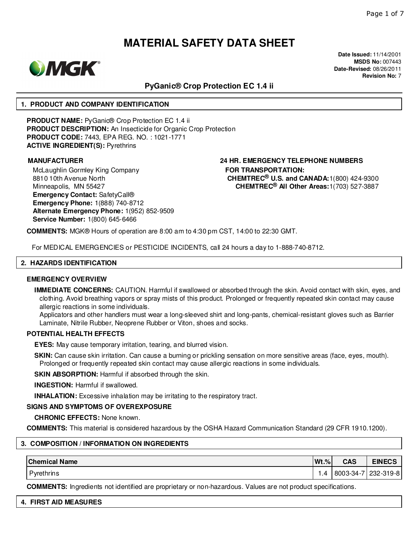

**Date Issued:** 11/14/2001 **MSDS No:** 007443 **Date-Revised:** 08/26/2011 **Revision No:** 7

### **PyGanic® Crop Protection EC 1.4 ii**

#### **1. PRODUCT AND COMPANY IDENTIFICATION**

**PRODUCT NAME:** PyGanic® Crop Protection EC 1.4 ii **PRODUCT DESCRIPTION:** An Insecticide for Organic Crop Protection **PRODUCT CODE:** 7443, EPA REG. NO. : 1021-1771 **ACTIVE INGREDIENT(S):** Pyrethrins

McLaughlin Gormley King Company 8810 10th Avenue North Minneapolis, MN 55427 **Emergency Contact:** SafetyCall® **Emergency Phone:** 1(888) 740-8712 **Alternate Emergency Phone:** 1(952) 852-9509 **Service Number:** 1(800) 645-6466

**MANUFACTURER 24 HR. EMERGENCY TELEPHONE NUMBERS FOR TRANSPORTATION: CHEMTREC® U.S. and CANADA:**1(800) 424-9300 **CHEMTREC® All Other Areas:**1(703) 527-3887

**COMMENTS:** MGK® Hours of operation are 8:00 am to 4:30 pm CST, 14:00 to 22:30 GMT.

For MEDICAL EMERGENCIES or PESTICIDE INCIDENTS, call 24 hours a day to 1-888-740-8712.

#### **2. HAZARDS IDENTIFICATION**

#### **EMERGENCY OVERVIEW**

**IMMEDIATE CONCERNS:** CAUTION. Harmful if swallowed or absorbed through the skin. Avoid contact with skin, eyes, and clothing. Avoid breathing vapors or spray mists of this product. Prolonged or frequently repeated skin contact may cause allergic reactions in some individuals.

Applicators and other handlers must wear a long-sleeved shirt and long-pants, chemical-resistant gloves such as Barrier Laminate, Nitrile Rubber, Neoprene Rubber or Viton, shoes and socks.

#### **POTENTIAL HEALTH EFFECTS**

**EYES:** May cause temporary irritation, tearing, and blurred vision.

**SKIN:** Can cause skin irritation. Can cause a burning or prickling sensation on more sensitive areas (face, eyes, mouth). Prolonged or frequently repeated skin contact may cause allergic reactions in some individuals.

**SKIN ABSORPTION:** Harmful if absorbed through the skin.

**INGESTION:** Harmful if swallowed.

**INHALATION:** Excessive inhalation may be irritating to the respiratory tract.

#### **SIGNS AND SYMPTOMS OF OVEREXPOSURE**

**CHRONIC EFFECTS:** None known.

**COMMENTS:** This material is considered hazardous by the OSHA Hazard Communication Standard (29 CFR 1910.1200).

#### **3. COMPOSITION / INFORMATION ON INGREDIENTS**

| <b>Chemical Name</b> | $ Wt.\% $ | <b>CAS</b> | <b>EINECS</b> |
|----------------------|-----------|------------|---------------|
| Pyrethrins           | .4        | 8003-34-7  | 7   232-319-8 |

**COMMENTS:** Ingredients not identified are proprietary or non-hazardous. Values are not product specifications.

|  |  |  | <b>4. FIRST AID MEASURES</b> |  |
|--|--|--|------------------------------|--|
|--|--|--|------------------------------|--|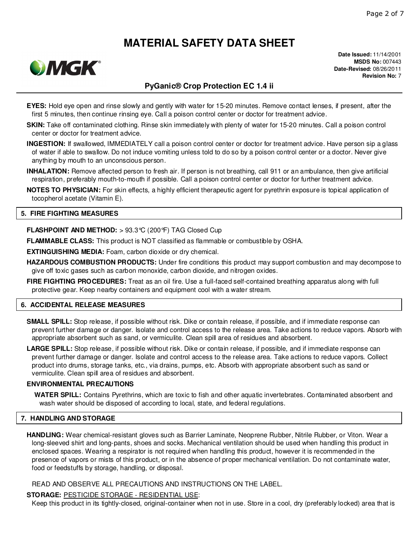

**Date Issued:** 11/14/2001 **MSDS No:** 007443 **Date-Revised:** 08/26/2011 **Revision No:** 7

### **PyGanic® Crop Protection EC 1.4 ii**

- **EYES:** Hold eye open and rinse slowly and gently with water for 15-20 minutes. Remove contact lenses, if present, after the first 5 minutes, then continue rinsing eye. Call a poison control center or doctor for treatment advice.
- **SKIN:** Take off contaminated clothing. Rinse skin immediately with plenty of water for 15-20 minutes. Call a poison control center or doctor for treatment advice.
- **INGESTION:** If swallowed, IMMEDIATELY call a poison control center or doctor for treatment advice. Have person sip a glass of water if able to swallow. Do not induce vomiting unless told to do so by a poison control center or a doctor. Never give anything by mouth to an unconscious person.
- **INHALATION:** Remove affected person to fresh air. If person is not breathing, call 911 or an ambulance, then give artificial respiration, preferably mouth-to-mouth if possible. Call a poison control center or doctor for further treatment advice.
- **NOTES TO PHYSICIAN:** For skin effects, a highly efficient therapeutic agent for pyrethrin exposure is topical application of tocopherol acetate (Vitamin E).

#### **5. FIRE FIGHTING MEASURES**

**FLASHPOINT AND METHOD:** > 93.3°C (200°F) TAG Closed Cup

**FLAMMABLE CLASS:** This product is NOT classified as flammable or combustible by OSHA.

**EXTINGUISHING MEDIA:** Foam, carbon dioxide or dry chemical.

**HAZARDOUS COMBUSTION PRODUCTS:** Under fire conditions this product may support combustion and may decompose to give off toxic gases such as carbon monoxide, carbon dioxide, and nitrogen oxides.

**FIRE FIGHTING PROCEDURES:** Treat as an oil fire. Use a full-faced self-contained breathing apparatus along with full protective gear. Keep nearby containers and equipment cool with a water stream.

#### **6. ACCIDENTAL RELEASE MEASURES**

**SMALL SPILL:** Stop release, if possible without risk. Dike or contain release, if possible, and if immediate response can prevent further damage or danger. Isolate and control access to the release area. Take actions to reduce vapors. Absorb with appropriate absorbent such as sand, or vermiculite. Clean spill area of residues and absorbent.

LARGE SPILL: Stop release, if possible without risk. Dike or contain release, if possible, and if immediate response can prevent further damage or danger. Isolate and control access to the release area. Take actions to reduce vapors. Collect product into drums, storage tanks, etc., via drains, pumps, etc. Absorb with appropriate absorbent such as sand or vermiculite. Clean spill area of residues and absorbent.

### **ENVIRONMENTAL PRECAUTIONS**

**WATER SPILL:** Contains Pyrethrins, which are toxic to fish and other aquatic invertebrates. Contaminated absorbent and wash water should be disposed of according to local, state, and federal regulations.

#### **7. HANDLING AND STORAGE**

**HANDLING:** Wear chemical-resistant gloves such as Barrier Laminate, Neoprene Rubber, Nitrile Rubber, or Viton. Wear a long-sleeved shirt and long-pants, shoes and socks. Mechanical ventilation should be used when handling this product in enclosed spaces. Wearing a respirator is not required when handling this product, however it is recommended in the presence of vapors or mists of this product, or in the absence of proper mechanical ventilation. Do not contaminate water, food or feedstuffs by storage, handling, or disposal.

#### READ AND OBSERVE ALL PRECAUTIONS AND INSTRUCTIONS ON THE LABEL.

#### **STORAGE:** PESTICIDE STORAGE - RESIDENTIAL USE:

Keep this product in its tightly-closed, original-container when not in use. Store in a cool, dry (preferably locked) area that is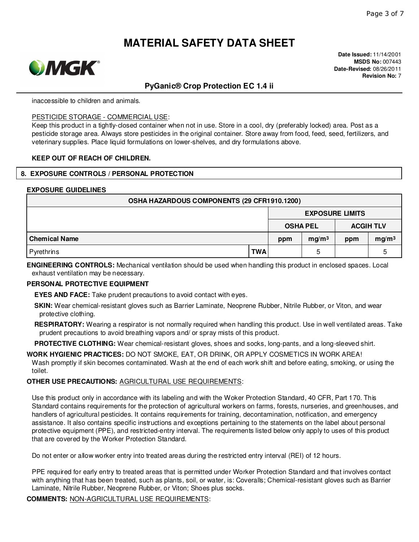

**Date Issued:** 11/14/2001 **MSDS No:** 007443 **Date-Revised:** 08/26/2011 **Revision No:** 7

### **PyGanic® Crop Protection EC 1.4 ii**

inaccessible to children and animals.

#### PESTICIDE STORAGE - COMMERCIAL USE:

Keep this product in a tightly-closed container when not in use. Store in a cool, dry (preferably locked) area. Post as a pesticide storage area. Always store pesticides in the original container. Store away from food, feed, seed, fertilizers, and veterinary supplies. Place liquid formulations on lower-shelves, and dry formulations above.

#### **KEEP OUT OF REACH OF CHILDREN.**

#### **8. EXPOSURE CONTROLS / PERSONAL PROTECTION**

#### **EXPOSURE GUIDELINES**

| OSHA HAZARDOUS COMPONENTS (29 CFR1910.1200) |            |                                     |                        |     |                   |  |  |  |
|---------------------------------------------|------------|-------------------------------------|------------------------|-----|-------------------|--|--|--|
|                                             |            |                                     | <b>EXPOSURE LIMITS</b> |     |                   |  |  |  |
|                                             |            | <b>OSHA PEL</b><br><b>ACGIH TLV</b> |                        |     |                   |  |  |  |
| <b>Chemical Name</b>                        |            | ppm                                 | mg/m <sup>3</sup>      | ppm | mg/m <sup>3</sup> |  |  |  |
| Pyrethrins                                  | <b>TWA</b> |                                     | 5                      |     | ۰.                |  |  |  |

**ENGINEERING CONTROLS:** Mechanical ventilation should be used when handling this product in enclosed spaces. Local exhaust ventilation may be necessary.

#### **PERSONAL PROTECTIVE EQUIPMENT**

**EYES AND FACE:** Take prudent precautions to avoid contact with eyes.

- **SKIN:** Wear chemical-resistant gloves such as Barrier Laminate, Neoprene Rubber, Nitrile Rubber, or Viton, and wear protective clothing.
- **RESPIRATORY:** Wearing a respirator is not normally required when handling this product. Use in well ventilated areas. Take prudent precautions to avoid breathing vapors and/ or spray mists of this product.

**PROTECTIVE CLOTHING:** Wear chemical-resistant gloves, shoes and socks, long-pants, and a long-sleeved shirt.

**WORK HYGIENIC PRACTICES:** DO NOT SMOKE, EAT, OR DRINK, OR APPLY COSMETICS IN WORK AREA! Wash promptly if skin becomes contaminated. Wash at the end of each work shift and before eating, smoking, or using the toilet.

#### **OTHER USE PRECAUTIONS:** AGRICULTURAL USE REQUIREMENTS:

Use this product only in accordance with its labeling and with the Woker Protection Standard, 40 CFR, Part 170. This Standard contains requirements for the protection of agricultural workers on farms, forests, nurseries, and greenhouses, and handlers of agricultural pesticides. It contains requirements for training, decontamination, notification, and emergency assistance. It also contains specific instructions and exceptions pertaining to the statements on the label about personal protective equipment (PPE), and restricted-entry interval. The requirements listed below only apply to uses of this product that are covered by the Worker Protection Standard.

Do not enter or allow worker entry into treated areas during the restricted entry interval (REI) of 12 hours.

PPE required for early entry to treated areas that is permitted under Worker Protection Standard and that involves contact with anything that has been treated, such as plants, soil, or water, is: Coveralls; Chemical-resistant gloves such as Barrier Laminate, Nitrile Rubber, Neoprene Rubber, or Viton; Shoes plus socks.

**COMMENTS:** NON-AGRICULTURAL USE REQUIREMENTS: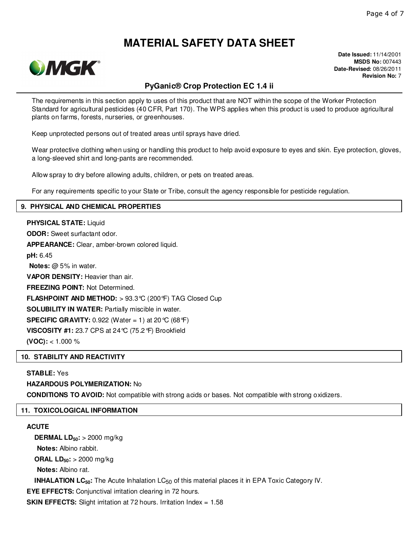

**Date Issued:** 11/14/2001 **MSDS No:** 007443 **Date-Revised:** 08/26/2011 **Revision No:** 7

# **PyGanic® Crop Protection EC 1.4 ii**

The requirements in this section apply to uses of this product that are NOT within the scope of the Worker Protection Standard for agricultural pesticides (40 CFR, Part 170). The WPS applies when this product is used to produce agricultural plants on farms, forests, nurseries, or greenhouses.

Keep unprotected persons out of treated areas until sprays have dried.

Wear protective clothing when using or handling this product to help avoid exposure to eyes and skin. Eye protection, gloves, a long-sleeved shirt and long-pants are recommended.

Allow spray to dry before allowing adults, children, or pets on treated areas.

For any requirements specific to your State or Tribe, consult the agency responsible for pesticide regulation.

#### **9. PHYSICAL AND CHEMICAL PROPERTIES**

**PHYSICAL STATE:** Liquid **ODOR:** Sweet surfactant odor. **APPEARANCE:** Clear, amber-brown colored liquid. **pH:** 6.45 **Notes:** @ 5% in water. **VAPOR DENSITY:** Heavier than air. **FREEZING POINT:** Not Determined. **FLASHPOINT AND METHOD:** > 93.3°C (200°F) TAG Closed Cup **SOLUBILITY IN WATER:** Partially miscible in water. **SPECIFIC GRAVITY:** 0.922 (Water = 1) at 20 °C (68 °F) **VISCOSITY #1:** 23.7 CPS at 24°C (75.2°F) Brookfield **(VOC):** < 1.000 %

#### **10. STABILITY AND REACTIVITY**

#### **STABLE:** Yes

#### **HAZARDOUS POLYMERIZATION:** No

**CONDITIONS TO AVOID:** Not compatible with strong acids or bases. Not compatible with strong oxidizers.

#### **11. TOXICOLOGICAL INFORMATION**

#### **ACUTE**

**DERMAL LD50:** > 2000 mg/kg **Notes:** Albino rabbit. **ORAL LD50:** > 2000 mg/kg **Notes:** Albino rat. **INHALATION LC<sub>50</sub>**: The Acute Inhalation LC<sub>50</sub> of this material places it in EPA Toxic Category IV. **EYE EFFECTS:** Conjunctival irritation clearing in 72 hours.

**SKIN EFFECTS:** Slight irritation at 72 hours. Irritation Index = 1.58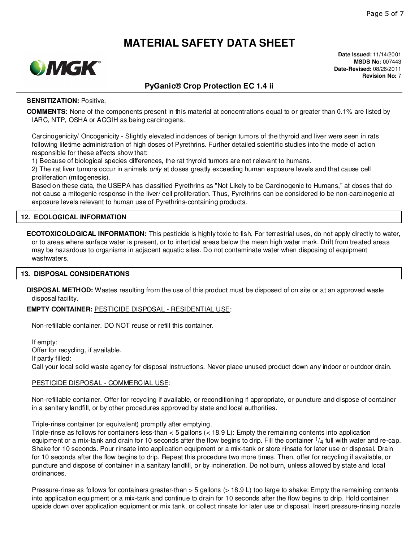

**Date Issued:** 11/14/2001 **MSDS No:** 007443 **Date-Revised:** 08/26/2011 **Revision No:** 7

# **PyGanic® Crop Protection EC 1.4 ii**

#### **SENSITIZATION:** Positive.

**COMMENTS:** None of the components present in this material at concentrations equal to or greater than 0.1% are listed by IARC, NTP, OSHA or ACGIH as being carcinogens.

Carcinogenicity/ Oncogenicity - Slightly elevated incidences of benign tumors of the thyroid and liver were seen in rats following lifetime administration of high doses of Pyrethrins. Further detailed scientific studies into the mode of action responsible for these effects show that:

1) Because of biological species differences, the rat thyroid tumors are not relevant to humans.

2) The rat liver tumors occur in animals only at doses greatly exceeding human exposure levels and that cause cell proliferation (mitogenesis).

Based on these data, the USEPA has classified Pyrethrins as "Not Likely to be Carcinogenic to Humans," at doses that do not cause a mitogenic response in the liver/ cell proliferation. Thus, Pyrethrins can be considered to be non-carcinogenic at exposure levels relevant to human use of Pyrethrins-containing products.

#### **12. ECOLOGICAL INFORMATION**

**ECOTOXICOLOGICAL INFORMATION:** This pesticide is highly toxic to fish. For terrestrial uses, do not apply directly to water, or to areas where surface water is present, or to intertidal areas below the mean high water mark. Drift from treated areas may be hazardous to organisms in adjacent aquatic sites. Do not contaminate water when disposing of equipment washwaters.

#### **13. DISPOSAL CONSIDERATIONS**

**DISPOSAL METHOD:** Wastes resulting from the use of this product must be disposed of on site or at an approved waste disposal facility.

**EMPTY CONTAINER:** PESTICIDE DISPOSAL - RESIDENTIAL USE:

Non-refillable container. DO NOT reuse or refill this container.

If empty: Offer for recycling, if available. If partly filled: Call your local solid waste agency for disposal instructions. Never place unused product down any indoor or outdoor drain.

#### PESTICIDE DISPOSAL - COMMERCIAL USE:

Non-refillable container. Offer for recycling if available, or reconditioning if appropriate, or puncture and dispose of container in a sanitary landfill, or by other procedures approved by state and local authorities.

Triple-rinse container (or equivalent) promptly after emptying.

Triple-rinse as follows for containers less-than < 5 gallons (< 18.9 L): Empty the remaining contents into application equipment or a mix-tank and drain for 10 seconds after the flow begins to drip. Fill the container  $1/4$  full with water and re-cap. Shake for 10 seconds. Pour rinsate into application equipment or a mix-tank or store rinsate for later use or disposal. Drain for 10 seconds after the flow begins to drip. Repeat this procedure two more times. Then, offer for recycling if available, or puncture and dispose of container in a sanitary landfill, or by incineration. Do not burn, unless allowed by state and local ordinances.

Pressure-rinse as follows for containers greater-than > 5 gallons (> 18.9 L) too large to shake: Empty the remaining contents into application equipment or a mix-tank and continue to drain for 10 seconds after the flow begins to drip. Hold container upside down over application equipment or mix tank, or collect rinsate for later use or disposal. Insert pressure-rinsing nozzle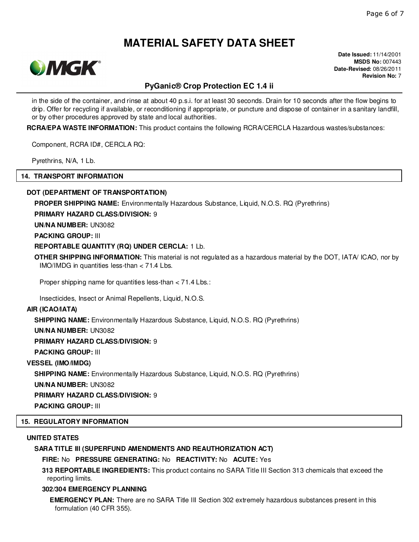

**Date Issued:** 11/14/2001 **MSDS No:** 007443 **Date-Revised:** 08/26/2011 **Revision No:** 7

### **PyGanic® Crop Protection EC 1.4 ii**

in the side of the container, and rinse at about 40 p.s.i. for at least 30 seconds. Drain for 10 seconds after the flow begins to drip. Offer for recycling if available, or reconditioning if appropriate, or puncture and dispose of container in a sanitary landfill, or by other procedures approved by state and local authorities.

**RCRA/EPA WASTE INFORMATION:** This product contains the following RCRA/CERCLA Hazardous wastes/substances:

Component, RCRA ID#, CERCLA RQ:

Pyrethrins, N/A, 1 Lb.

#### **14. TRANSPORT INFORMATION**

#### **DOT (DEPARTMENT OF TRANSPORTATION)**

**PROPER SHIPPING NAME:** Environmentally Hazardous Substance, Liquid, N.O.S. RQ (Pyrethrins)

#### **PRIMARY HAZARD CLASS/DIVISION:** 9

**UN/NA NUMBER:** UN3082

**PACKING GROUP:** III

#### **REPORTABLE QUANTITY (RQ) UNDER CERCLA:** 1 Lb.

**OTHER SHIPPING INFORMATION:** This material is not regulated as a hazardous material by the DOT, IATA/ ICAO, nor by IMO/IMDG in quantities less-than < 71.4 Lbs.

Proper shipping name for quantities less-than < 71.4 Lbs.:

Insecticides, Insect or Animal Repellents, Liquid, N.O.S.

#### **AIR (ICAO/IATA)**

**SHIPPING NAME:** Environmentally Hazardous Substance, Liquid, N.O.S. RQ (Pyrethrins)

**UN/NA NUMBER:** UN3082

**PRIMARY HAZARD CLASS/DIVISION:** 9

**PACKING GROUP:** III

#### **VESSEL (IMO/IMDG)**

**SHIPPING NAME:** Environmentally Hazardous Substance, Liquid, N.O.S. RQ (Pyrethrins)

**UN/NA NUMBER:** UN3082

**PRIMARY HAZARD CLASS/DIVISION:** 9

**PACKING GROUP:** III

#### **15. REGULATORY INFORMATION**

#### **UNITED STATES**

### **SARA TITLE III (SUPERFUND AMENDMENTS AND REAUTHORIZATION ACT)**

**FIRE:** No **PRESSURE GENERATING:** No **REACTIVITY:** No **ACUTE:** Yes

**313 REPORTABLE INGREDIENTS:** This product contains no SARA Title III Section 313 chemicals that exceed the reporting limits.

#### **302/304 EMERGENCY PLANNING**

**EMERGENCY PLAN:** There are no SARA Title III Section 302 extremely hazardous substances present in this formulation (40 CFR 355).